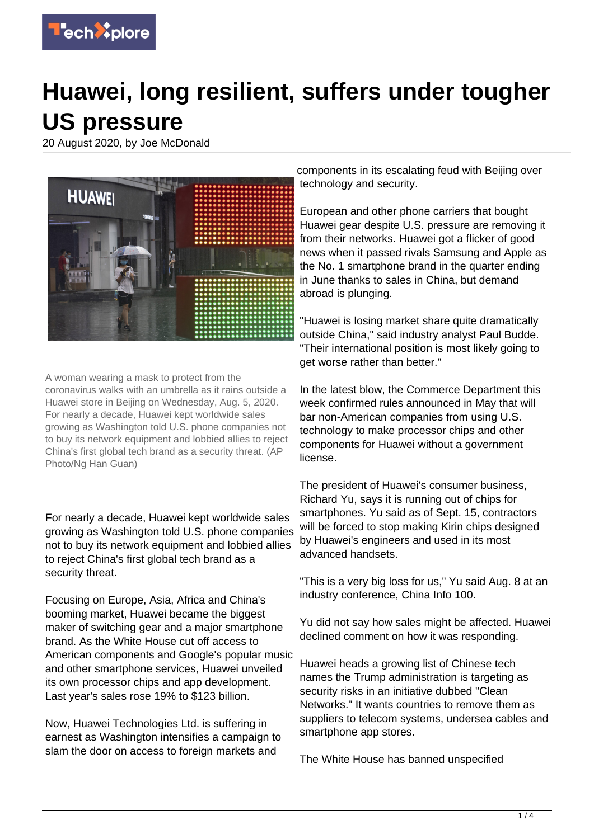

## **Huawei, long resilient, suffers under tougher US pressure**

20 August 2020, by Joe McDonald



A woman wearing a mask to protect from the coronavirus walks with an umbrella as it rains outside a Huawei store in Beijing on Wednesday, Aug. 5, 2020. For nearly a decade, Huawei kept worldwide sales growing as Washington told U.S. phone companies not to buy its network equipment and lobbied allies to reject China's first global tech brand as a security threat. (AP Photo/Ng Han Guan)

For nearly a decade, Huawei kept worldwide sales growing as Washington told U.S. phone companies not to buy its network equipment and lobbied allies to reject China's first global tech brand as a security threat.

Focusing on Europe, Asia, Africa and China's booming market, Huawei became the biggest maker of switching gear and a major smartphone brand. As the White House cut off access to American components and Google's popular music and other smartphone services, Huawei unveiled its own processor chips and app development. Last year's sales rose 19% to \$123 billion.

Now, Huawei Technologies Ltd. is suffering in earnest as Washington intensifies a campaign to slam the door on access to foreign markets and

components in its escalating feud with Beijing over technology and security.

European and other phone carriers that bought Huawei gear despite U.S. pressure are removing it from their networks. Huawei got a flicker of good news when it passed rivals Samsung and Apple as the No. 1 smartphone brand in the quarter ending in June thanks to sales in China, but demand abroad is plunging.

"Huawei is losing market share quite dramatically outside China," said industry analyst Paul Budde. "Their international position is most likely going to get worse rather than better."

In the latest blow, the Commerce Department this week confirmed rules announced in May that will bar non-American companies from using U.S. technology to make processor chips and other components for Huawei without a government license.

The president of Huawei's consumer business, Richard Yu, says it is running out of chips for smartphones. Yu said as of Sept. 15, contractors will be forced to stop making Kirin chips designed by Huawei's engineers and used in its most advanced handsets.

"This is a very big loss for us," Yu said Aug. 8 at an industry conference, China Info 100.

Yu did not say how sales might be affected. Huawei declined comment on how it was responding.

Huawei heads a growing list of Chinese tech names the Trump administration is targeting as security risks in an initiative dubbed "Clean Networks." It wants countries to remove them as suppliers to telecom systems, undersea cables and smartphone app stores.

The White House has banned unspecified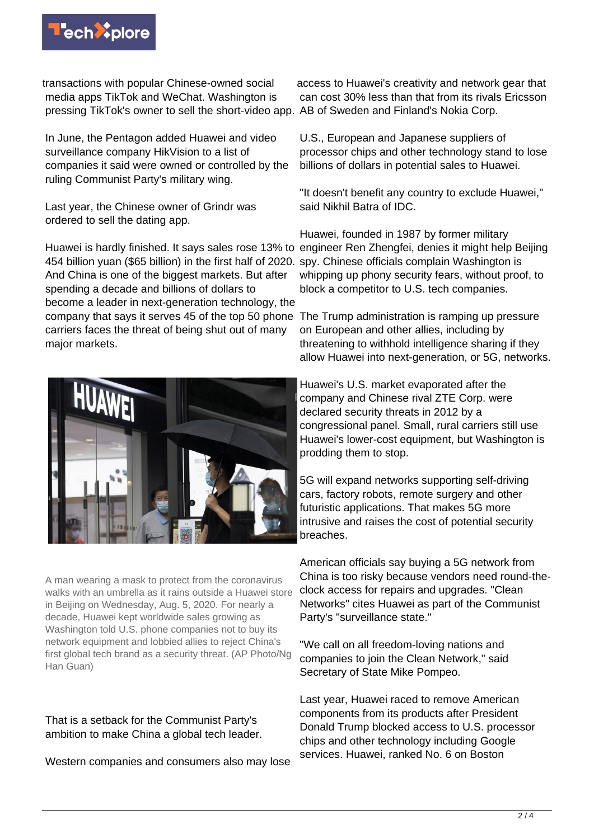

transactions with popular Chinese-owned social media apps TikTok and WeChat. Washington is pressing TikTok's owner to sell the short-video app. AB of Sweden and Finland's Nokia Corp.

In June, the Pentagon added Huawei and video surveillance company HikVision to a list of companies it said were owned or controlled by the ruling Communist Party's military wing.

Last year, the Chinese owner of Grindr was ordered to sell the dating app.

Huawei is hardly finished. It says sales rose 13% to engineer Ren Zhengfei, denies it might help Beijing 454 billion yuan (\$65 billion) in the first half of 2020. spy. Chinese officials complain Washington is And China is one of the biggest markets. But after spending a decade and billions of dollars to become a leader in next-generation technology, the company that says it serves 45 of the top 50 phone carriers faces the threat of being shut out of many major markets.



A man wearing a mask to protect from the coronavirus walks with an umbrella as it rains outside a Huawei store in Beijing on Wednesday, Aug. 5, 2020. For nearly a decade, Huawei kept worldwide sales growing as Washington told U.S. phone companies not to buy its network equipment and lobbied allies to reject China's first global tech brand as a security threat. (AP Photo/Ng Han Guan)

That is a setback for the Communist Party's ambition to make China a global tech leader.

Western companies and consumers also may lose

access to Huawei's creativity and network gear that can cost 30% less than that from its rivals Ericsson

U.S., European and Japanese suppliers of processor chips and other technology stand to lose billions of dollars in potential sales to Huawei.

"It doesn't benefit any country to exclude Huawei," said Nikhil Batra of IDC.

Huawei, founded in 1987 by former military whipping up phony security fears, without proof, to block a competitor to U.S. tech companies.

The Trump administration is ramping up pressure on European and other allies, including by threatening to withhold intelligence sharing if they allow Huawei into next-generation, or 5G, networks.

Huawei's U.S. market evaporated after the company and Chinese rival ZTE Corp. were declared security threats in 2012 by a congressional panel. Small, rural carriers still use Huawei's lower-cost equipment, but Washington is prodding them to stop.

5G will expand networks supporting self-driving cars, factory robots, remote surgery and other futuristic applications. That makes 5G more intrusive and raises the cost of potential security breaches.

American officials say buying a 5G network from China is too risky because vendors need round-theclock access for repairs and upgrades. "Clean Networks" cites Huawei as part of the Communist Party's "surveillance state."

"We call on all freedom-loving nations and companies to join the Clean Network," said Secretary of State Mike Pompeo.

Last year, Huawei raced to remove American components from its products after President Donald Trump blocked access to U.S. processor chips and other technology including Google services. Huawei, ranked No. 6 on Boston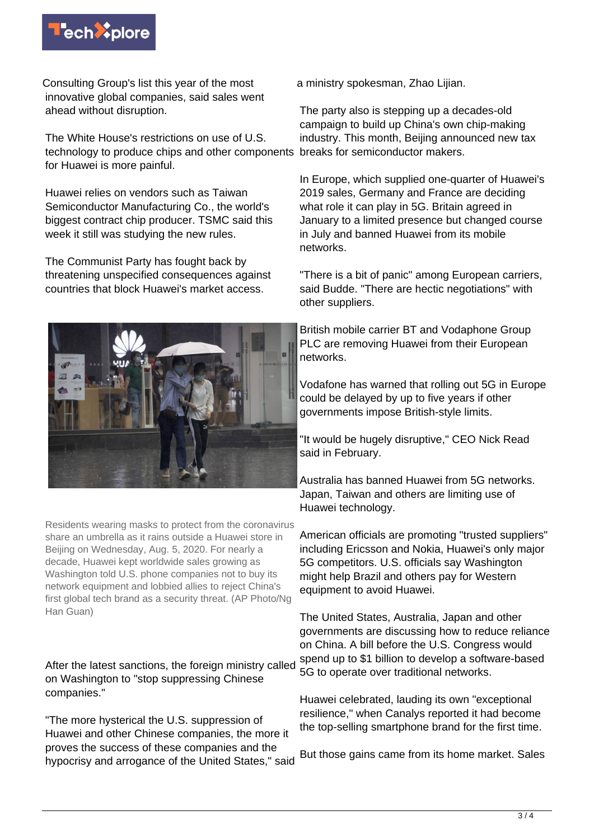

Consulting Group's list this year of the most innovative global companies, said sales went ahead without disruption.

The White House's restrictions on use of U.S. technology to produce chips and other components breaks for semiconductor makers. for Huawei is more painful.

Huawei relies on vendors such as Taiwan Semiconductor Manufacturing Co., the world's biggest contract chip producer. TSMC said this week it still was studying the new rules.

The Communist Party has fought back by threatening unspecified consequences against countries that block Huawei's market access.



Residents wearing masks to protect from the coronavirus share an umbrella as it rains outside a Huawei store in Beijing on Wednesday, Aug. 5, 2020. For nearly a decade, Huawei kept worldwide sales growing as Washington told U.S. phone companies not to buy its network equipment and lobbied allies to reject China's first global tech brand as a security threat. (AP Photo/Ng Han Guan)

After the latest sanctions, the foreign ministry called on Washington to "stop suppressing Chinese companies."

"The more hysterical the U.S. suppression of Huawei and other Chinese companies, the more it proves the success of these companies and the hypocrisy and arrogance of the United States," said

a ministry spokesman, Zhao Lijian.

The party also is stepping up a decades-old campaign to build up China's own chip-making industry. This month, Beijing announced new tax

In Europe, which supplied one-quarter of Huawei's 2019 sales, Germany and France are deciding what role it can play in 5G. Britain agreed in January to a limited presence but changed course in July and banned Huawei from its mobile networks.

"There is a bit of panic" among European carriers, said Budde. "There are hectic negotiations" with other suppliers.

British mobile carrier BT and Vodaphone Group PLC are removing Huawei from their European networks.

Vodafone has warned that rolling out 5G in Europe could be delayed by up to five years if other governments impose British-style limits.

"It would be hugely disruptive," CEO Nick Read said in February.

Australia has banned Huawei from 5G networks. Japan, Taiwan and others are limiting use of Huawei technology.

American officials are promoting "trusted suppliers" including Ericsson and Nokia, Huawei's only major 5G competitors. U.S. officials say Washington might help Brazil and others pay for Western equipment to avoid Huawei.

The United States, Australia, Japan and other governments are discussing how to reduce reliance on China. A bill before the U.S. Congress would spend up to \$1 billion to develop a software-based 5G to operate over traditional networks.

Huawei celebrated, lauding its own "exceptional resilience," when Canalys reported it had become the top-selling smartphone brand for the first time.

But those gains came from its home market. Sales